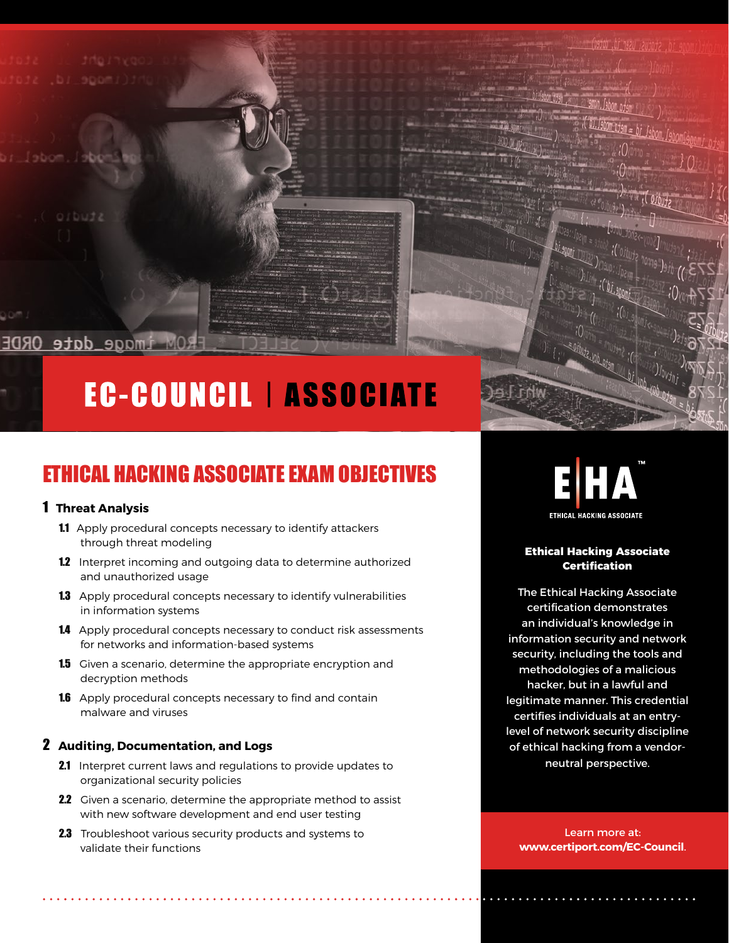# **EC-COUNCIL | ASSOCIATE**

# ETHICAL HACKING ASSOCIATE EXAM OBJECTIVES

# 1 **Threat Analysis**

OM image\_date ORDE

- 1.1 Apply procedural concepts necessary to identify attackers through threat modeling
- 1.2 Interpret incoming and outgoing data to determine authorized and unauthorized usage
- 1.3 Apply procedural concepts necessary to identify vulnerabilities in information systems
- 1.4 Apply procedural concepts necessary to conduct risk assessments for networks and information-based systems
- 1.5 Given a scenario, determine the appropriate encryption and decryption methods
- **1.6** Apply procedural concepts necessary to find and contain malware and viruses

# 2 **Auditing, Documentation, and Logs**

- 2.1 Interpret current laws and regulations to provide updates to organizational security policies
- 2.2 Given a scenario, determine the appropriate method to assist with new software development and end user testing
- 2.3 Troubleshoot various security products and systems to validate their functions



#### **Ethical Hacking Associate Certification**

The Ethical Hacking Associate certification demonstrates an individual's knowledge in information security and network security, including the tools and methodologies of a malicious hacker, but in a lawful and legitimate manner. This credential certifies individuals at an entrylevel of network security discipline of ethical hacking from a vendorneutral perspective.

Learn more at: **www.certiport.com/EC-Council**.